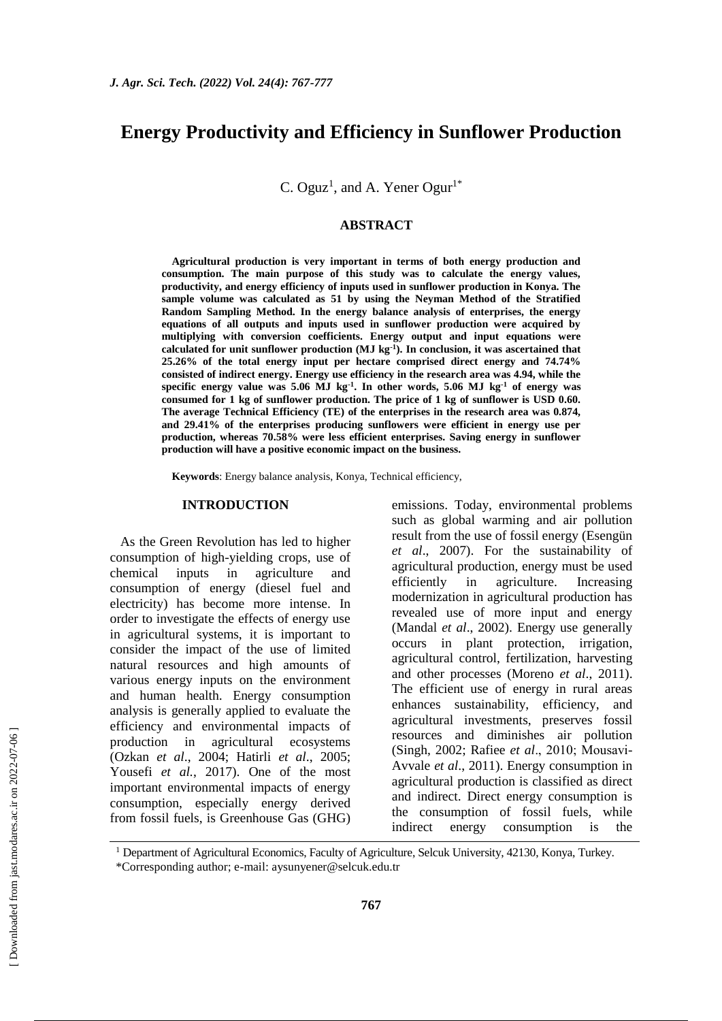# **Energy Productivity and Efficiency in Sunflower Production**

C. Oguz<sup>1</sup>, and A. Yener Ogur<sup>1\*</sup>

#### **ABSTRACT**

**Agricultural production is very important in terms of both energy production and consumption. The main purpose of this study was to calculate the energy values, productivity, and energy efficiency of inputs used in sunflower production in Konya. The sample volume was calculated as 51 by using the Neyman Method of the Stratified Random Sampling Method. In the energy balance analysis of enterprises, the energy equations of all outputs and inputs used in sunflower production were acquired by multiplying with conversion coefficients. Energy output and input equations were calculated for unit sunflower production (MJ kg-1 ). In conclusion, it was ascertained that 25.26% of the total energy input per hectare comprised direct energy and 74.74% consisted of indirect energy. Energy use efficiency in the research area was 4.94, while the specific energy value was 5.06 MJ kg-1 . In other words, 5.06 MJ kg-1 of energy was consumed for 1 kg of sunflower production. The price of 1 kg of sunflower is USD 0.60. The average Technical Efficiency (TE) of the enterprises in the research area was 0.874, and 29.41% of the enterprises producing sunflowers were efficient in energy use per production, whereas 70.58% were less efficient enterprises. Saving energy in sunflower production will have a positive economic impact on the business.**

**Keywords**: Energy balance analysis, Konya, Technical efficiency,

#### **INTRODUCTION**

As the Green Revolution has led to higher consumption of high-yielding crops, use of chemical inputs in agriculture and consumption of energy (diesel fuel and electricity) has become more intense. In order to investigate the effects of energy use in agricultural systems, it is important to consider the impact of the use of limited natural resources and high amounts of various energy inputs on the environment and human health. Energy consumption analysis is generally applied to evaluate the efficiency and environmental impacts of production in agricultural ecosystems (Ozkan *et al*., 2004; Hatirli *et al*., 2005; Yousefi *et al.*, 2017). One of the most important environmental impacts of energy consumption, especially energy derived from fossil fuels, is Greenhouse Gas (GHG) emissions. Today, environmental problems such as global warming and air pollution result from the use of fossil energy (Esengün *et al*., 2007). For the sustainability of agricultural production, energy must be used efficiently in agriculture. Increasing modernization in agricultural production has revealed use of more input and energy (Mandal *et al*., 2002). Energy use generally occurs in plant protection, irrigation, agricultural control, fertilization, harvesting and other processes (Moreno *et al*., 2011). The efficient use of energy in rural areas enhances sustainability, efficiency, and agricultural investments, preserves fossil resources and diminishes air pollution (Singh, 2002; Rafiee *et al*., 2010; Mousavi-Avvale *et al*., 2011). Energy consumption in agricultural production is classified as direct and indirect. Direct energy consumption is the consumption of fossil fuels, while indirect energy consumption is the

<sup>1</sup> Department of Agricultural Economics, Faculty of Agriculture, Selcuk University, 42130, Konya, Turkey.

<sup>\*</sup>Corresponding author; e-mail: aysunyener@selcuk.edu.tr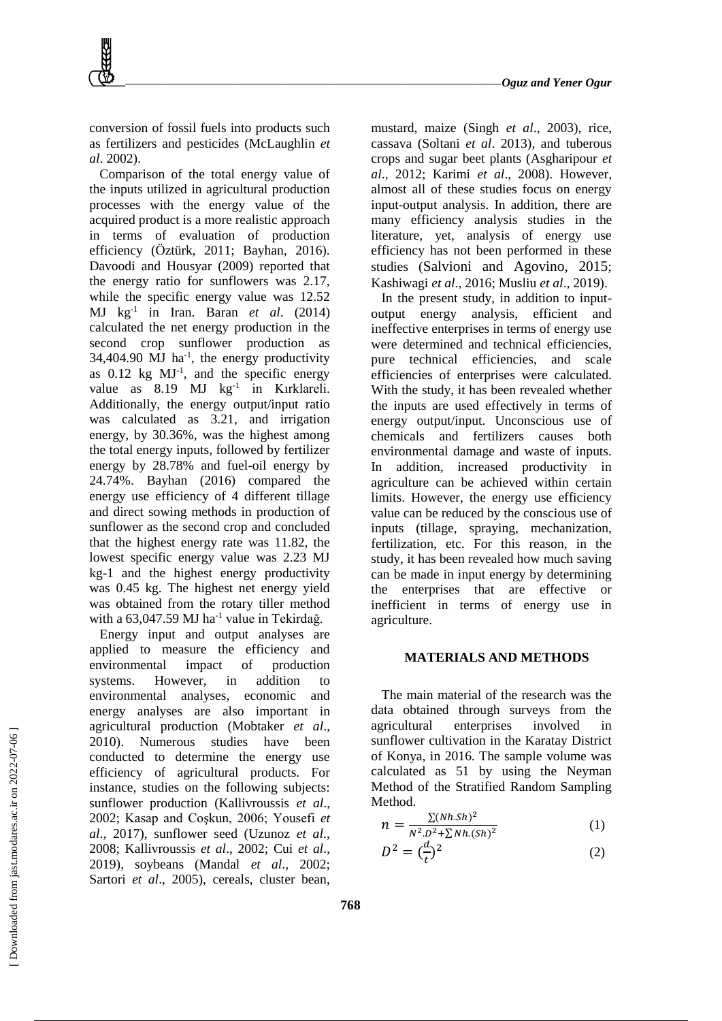conversion of fossil fuels into products such as fertilizers and pesticides (McLaughlin *et al*. 2002).

Comparison of the total energy value of the inputs utilized in agricultural production processes with the energy value of the acquired product is a more realistic approach in terms of evaluation of production efficiency (Öztürk, 2011; Bayhan, 2016). Davoodi and Housyar (2009) reported that the energy ratio for sunflowers was 2.17, while the specific energy value was 12.52 MJ kg-1 in Iran. Baran *et al*. (2014) calculated the net energy production in the second crop sunflower production as  $34,404.90$  MJ ha<sup>-1</sup>, the energy productivity as  $0.12$  kg  $MJ^{-1}$ , and the specific energy value as 8.19 MJ kg<sup>-1</sup> in Kırklareli. Additionally, the energy output/input ratio was calculated as 3.21, and irrigation energy, by 30.36%, was the highest among the total energy inputs, followed by fertilizer energy by 28.78% and fuel-oil energy by 24.74%. Bayhan (2016) compared the energy use efficiency of 4 different tillage and direct sowing methods in production of sunflower as the second crop and concluded that the highest energy rate was 11.82, the lowest specific energy value was 2.23 MJ kg-1 and the highest energy productivity was 0.45 kg. The highest net energy yield was obtained from the rotary tiller method with a 63,047.59 MJ ha<sup>-1</sup> value in Tekirdağ.

Energy input and output analyses are applied to measure the efficiency and environmental impact of production systems. However, in addition to environmental analyses, economic and energy analyses are also important in agricultural production (Mobtaker *et al*., 2010). Numerous studies have been conducted to determine the energy use efficiency of agricultural products. For instance, studies on the following subjects: sunflower production (Kallivroussis *et al*., 2002; Kasap and Coşkun, 2006; Yousefi *et al*., 2017), sunflower seed (Uzunoz *et al*., 2008; Kallivroussis *et al*., 2002; Cui *et al*., 2019), soybeans (Mandal *et al*., 2002; Sartori *et al*., 2005), cereals, cluster bean,

mustard, maize (Singh *et al*., 2003), rice, cassava (Soltani *et al*. 2013), and tuberous crops and sugar beet plants (Asgharipour *et al*., 2012; Karimi *et al*., 2008). However, almost all of these studies focus on energy input-output analysis. In addition, there are many efficiency analysis studies in the literature, yet, analysis of energy use efficiency has not been performed in these studies (Salvioni and Agovino, 2015; Kashiwagi *et al*., 2016; Musliu *et al*., 2019).

In the present study, in addition to inputoutput energy analysis, efficient and ineffective enterprises in terms of energy use were determined and technical efficiencies, pure technical efficiencies, and scale efficiencies of enterprises were calculated. With the study, it has been revealed whether the inputs are used effectively in terms of energy output/input. Unconscious use of chemicals and fertilizers causes both environmental damage and waste of inputs. In addition, increased productivity in agriculture can be achieved within certain limits. However, the energy use efficiency value can be reduced by the conscious use of inputs (tillage, spraying, mechanization, fertilization, etc. For this reason, in the study, it has been revealed how much saving can be made in input energy by determining the enterprises that are effective or inefficient in terms of energy use in agriculture.

# **MATERIALS AND METHODS**

The main material of the research was the data obtained through surveys from the agricultural enterprises involved in sunflower cultivation in the Karatay District of Konya, in 2016. The sample volume was calculated as 51 by using the Neyman Method of the Stratified Random Sampling Method.

$$
n = \frac{\sum (Nh. Sh)^2}{N^2 \cdot D^2 + \sum Nh. (Sh)^2}
$$
 (1)

$$
D^2 = \left(\frac{d}{t}\right)^2 \tag{2}
$$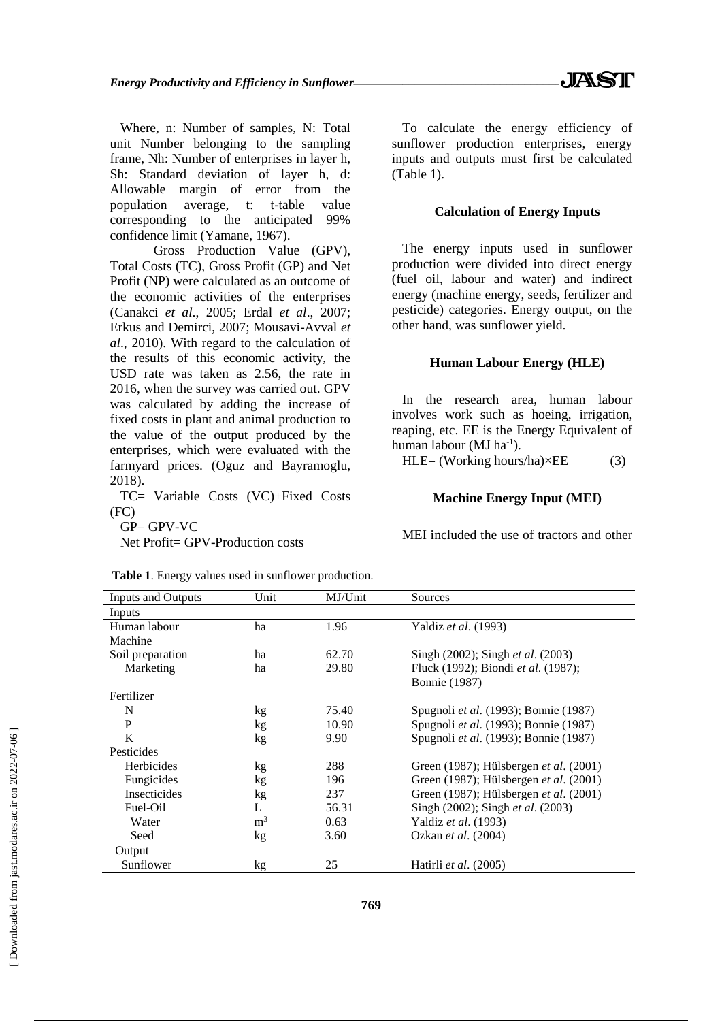Where, n: Number of samples, N: Total unit Number belonging to the sampling frame, Nh: Number of enterprises in layer h, Sh: Standard deviation of layer h, d: Allowable margin of error from the population average, t: t-table value corresponding to the anticipated 99% confidence limit (Yamane, 1967).

Gross Production Value (GPV), Total Costs (TC), Gross Profit (GP) and Net Profit (NP) were calculated as an outcome of the economic activities of the enterprises (Canakci *et al*., 2005; Erdal *et al*., 2007; Erkus and Demirci, 2007; Mousavi-Avval *et al*., 2010). With regard to the calculation of the results of this economic activity, the USD rate was taken as 2.56, the rate in 2016, when the survey was carried out. GPV was calculated by adding the increase of fixed costs in plant and animal production to the value of the output produced by the enterprises, which were evaluated with the farmyard prices. (Oguz and Bayramoglu, 2018).

TC= Variable Costs (VC)+Fixed Costs (FC)

 $GP = GPV-VC$ 

Net Profit= GPV-Production costs

To calculate the energy efficiency of sunflower production enterprises, energy inputs and outputs must first be calculated (Table 1).

### **Calculation of Energy Inputs**

The energy inputs used in sunflower production were divided into direct energy (fuel oil, labour and water) and indirect energy (machine energy, seeds, fertilizer and pesticide) categories. Energy output, on the other hand, was sunflower yield.

#### **Human Labour Energy (HLE)**

In the research area, human labour involves work such as hoeing, irrigation, reaping, etc. EE is the Energy Equivalent of human labour (MJ  $ha^{-1}$ ).

HLE= (Working hours/ha) $\times$ EE (3)

#### **Machine Energy Input (MEI)**

MEI included the use of tractors and other

| <b>Inputs and Outputs</b> | Unit           | MJ/Unit | Sources                                      |
|---------------------------|----------------|---------|----------------------------------------------|
| Inputs                    |                |         |                                              |
| Human labour              | ha             | 1.96    | Yaldiz <i>et al.</i> (1993)                  |
| Machine                   |                |         |                                              |
| Soil preparation          | ha             | 62.70   | Singh (2002); Singh <i>et al.</i> (2003)     |
| Marketing                 | ha             | 29.80   | Fluck (1992); Biondi et al. (1987);          |
|                           |                |         | <b>Bonnie</b> (1987)                         |
| Fertilizer                |                |         |                                              |
| N                         | kg             | 75.40   | Spugnoli <i>et al.</i> (1993); Bonnie (1987) |
| P                         | kg             | 10.90   | Spugnoli et al. (1993); Bonnie (1987)        |
| K                         | kg             | 9.90    | Spugnoli <i>et al.</i> (1993); Bonnie (1987) |
| Pesticides                |                |         |                                              |
| Herbicides                | kg             | 288     | Green (1987); Hülsbergen et al. (2001)       |
| Fungicides                | kg             | 196     | Green (1987); Hülsbergen et al. (2001)       |
| <b>Insecticides</b>       | kg             | 237     | Green (1987); Hülsbergen et al. (2001)       |
| Fuel-Oil                  | L              | 56.31   | Singh (2002); Singh et al. (2003)            |
| Water                     | m <sup>3</sup> | 0.63    | Yaldiz <i>et al.</i> (1993)                  |
| Seed                      | kg             | 3.60    | Ozkan et al. (2004)                          |
| Output                    |                |         |                                              |
| Sunflower                 | kg             | 25      | Hatirli et al. (2005)                        |

**Table 1**. Energy values used in sunflower production.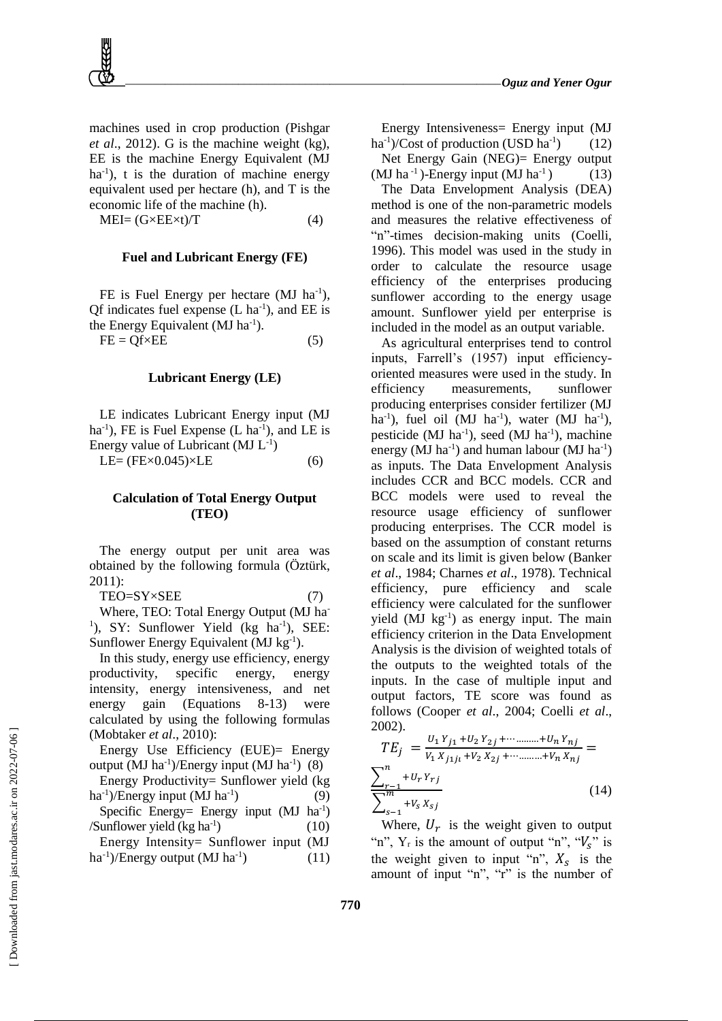machines used in crop production (Pishgar *et al*., 2012). G is the machine weight (kg), EE is the machine Energy Equivalent (MJ ha<sup>-1</sup>), t is the duration of machine energy equivalent used per hectare (h), and T is the economic life of the machine (h).

 $MEI = (G \times EE \times t)/T$  (4)

#### **Fuel and Lubricant Energy (FE)**

FE is Fuel Energy per hectare (MJ ha<sup>-1</sup>), Qf indicates fuel expense  $(L \text{ ha}^{-1})$ , and EE is the Energy Equivalent (MJ ha<sup>-1</sup>).  $FE = Qf \times EE$  (5)

#### **Lubricant Energy (LE)**

LE indicates Lubricant Energy input (MJ  $ha^{-1}$ ), FE is Fuel Expense (L  $ha^{-1}$ ), and LE is Energy value of Lubricant  $(MJ L^{-1})$ LE=  $(FEx0.045)\times$ LE (6)

#### **Calculation of Total Energy Output (TEO)**

The energy output per unit area was obtained by the following formula (Öztürk, 2011):

 $TEO = SY \times SEE$  (7) Where, TEO: Total Energy Output (MJ ha-<sup>1</sup>), SY: Sunflower Yield (kg ha<sup>-1</sup>), SEE: Sunflower Energy Equivalent (MJ kg<sup>-1</sup>).

In this study, energy use efficiency, energy productivity, specific energy, energy intensity, energy intensiveness, and net energy gain (Equations 8-13) were calculated by using the following formulas (Mobtaker *et al*., 2010):

Energy Use Efficiency (EUE)= Energy output (MJ ha<sup>-1</sup>)/Energy input (MJ ha<sup>-1</sup>) (8)

Energy Productivity= Sunflower yield (kg ha<sup>-1</sup>)/Energy input (MJ ha<sup>-1</sup> ) (9) Specific Energy= Energy input  $(MJ)$  ha<sup>-1</sup>)

/Sunflower yield  $(kg ha^{-1})$ ) (10) Energy Intensity= Sunflower input (MJ

ha<sup>-1</sup>)/Energy output (MJ ha<sup>-1</sup> ) (11)

Energy Intensiveness= Energy input (MJ ha<sup>-1</sup>)/Cost of production (USD ha<sup>-1</sup>  $(12)$ Net Energy Gain (NEG)= Energy output

(MJ ha<sup>-1</sup>)-Energy input (MJ ha<sup>-1</sup>) (13)

The Data Envelopment Analysis (DEA) method is one of the non-parametric models and measures the relative effectiveness of "n"-times decision-making units (Coelli, 1996). This model was used in the study in order to calculate the resource usage efficiency of the enterprises producing sunflower according to the energy usage amount. Sunflower yield per enterprise is included in the model as an output variable.

As agricultural enterprises tend to control inputs, Farrell's (1957) input efficiencyoriented measures were used in the study. In efficiency measurements, sunflower producing enterprises consider fertilizer (MJ ha<sup>-1</sup>), fuel oil (MJ ha<sup>-1</sup>), water (MJ ha<sup>-1</sup>), pesticide (MJ ha<sup>-1</sup>), seed (MJ ha<sup>-1</sup>), machine energy (MJ ha<sup>-1</sup>) and human labour (MJ ha<sup>-1</sup>) as inputs. The Data Envelopment Analysis includes CCR and BCC models. CCR and BCC models were used to reveal the resource usage efficiency of sunflower producing enterprises. The CCR model is based on the assumption of constant returns on scale and its limit is given below (Banker *et al*., 1984; Charnes *et al*., 1978). Technical efficiency, pure efficiency and scale efficiency were calculated for the sunflower yield (MJ kg<sup>-1</sup>) as energy input. The main efficiency criterion in the Data Envelopment Analysis is the division of weighted totals of the outputs to the weighted totals of the inputs. In the case of multiple input and output factors, TE score was found as follows (Cooper *et al*., 2004; Coelli *et al*., 2002).

$$
TE_{j} = \frac{U_{1}Y_{j1} + U_{2}Y_{2j} + \dots + U_{n}Y_{nj}}{V_{1}X_{j1j1} + V_{2}X_{2j} + \dots + V_{n}X_{nj}} = \frac{\sum_{r=1}^{n} + U_{r}Y_{rj}}{\sum_{s=1}^{m} + V_{s}X_{sj}}
$$
(14)

Where,  $U_r$  is the weight given to output "n",  $Y_r$  is the amount of output "n", " $V_s$ " is the weight given to input "n",  $X_s$  is the amount of input "n", "r" is the number of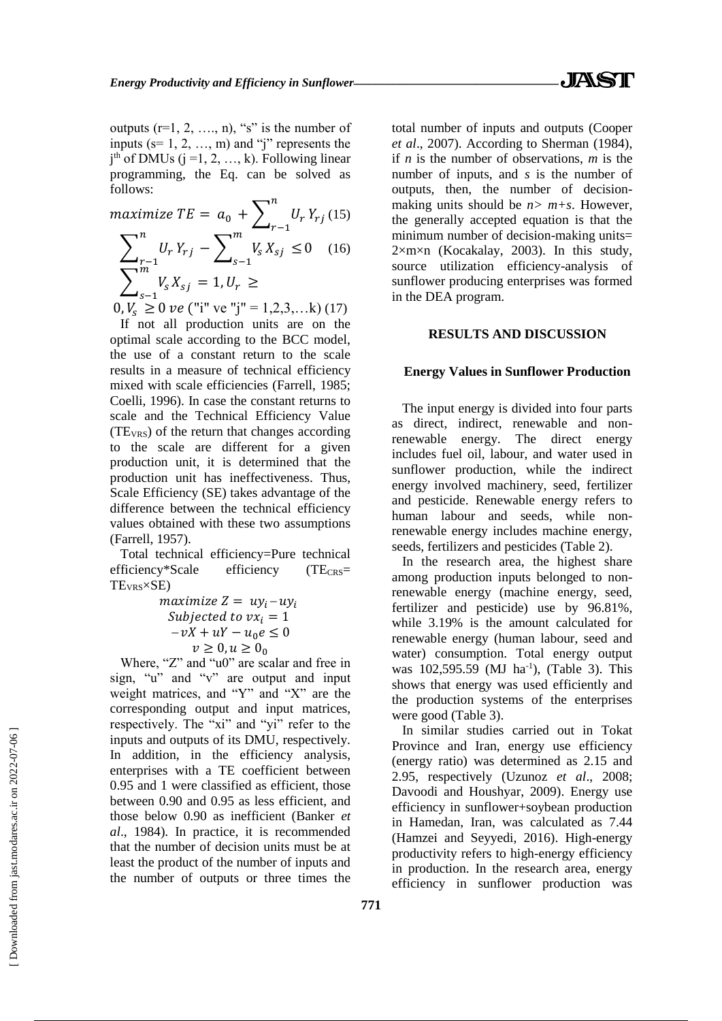outputs  $(r=1, 2, \ldots, n)$ , "s" is the number of inputs ( $s=1, 2, ..., m$ ) and "j" represents the  $j<sup>th</sup>$  of DMUs ( $j = 1, 2, ..., k$ ). Following linear programming, the Eq. can be solved as follows:

$$
\begin{aligned}\n\text{maximize } T E &= a_0 + \sum_{r-1}^{n} U_r Y_{rj} \ (15) \\
\sum_{r-1}^{n} U_r Y_{rj} &= \sum_{s-1}^{m} V_s X_{sj} \ \leq 0 \quad (16) \\
\sum_{s-1}^{m} V_s X_{sj} &= 1, U_r \ \geq \n\end{aligned}
$$

 $0, V_s \ge 0$  *ve* ("i" ve "j" = 1,2,3,...k) (17)

If not all production units are on the optimal scale according to the BCC model, the use of a constant return to the scale results in a measure of technical efficiency mixed with scale efficiencies (Farrell, 1985; Coelli, 1996). In case the constant returns to scale and the Technical Efficiency Value  $(TE<sub>VRS</sub>)$  of the return that changes according to the scale are different for a given production unit, it is determined that the production unit has ineffectiveness. Thus, Scale Efficiency (SE) takes advantage of the difference between the technical efficiency values obtained with these two assumptions (Farrell, 1957).

Total technical efficiency=Pure technical efficiency\*Scale efficiency (TE<sub>CRS</sub>= TEVRS×SE)

$$
\begin{array}{ll}\n\text{maximize } Z = u y_i - u y_i\\ \n\text{Subjected to } v x_i = 1\\ \n-v X + u Y - u_0 e \le 0\\ \n v \ge 0, u \ge 0_0\n\end{array}
$$

Where, "Z" and "u0" are scalar and free in sign, "u" and "v" are output and input weight matrices, and "Y" and "X" are the corresponding output and input matrices, respectively. The "xi" and "yi" refer to the inputs and outputs of its DMU, respectively. In addition, in the efficiency analysis, enterprises with a TE coefficient between 0.95 and 1 were classified as efficient, those between 0.90 and 0.95 as less efficient, and those below 0.90 as inefficient (Banker *et al*., 1984). In practice, it is recommended that the number of decision units must be at least the product of the number of inputs and the number of outputs or three times the

total number of inputs and outputs (Cooper *et al*., 2007). According to Sherman (1984), if *n* is the number of observations, *m* is the number of inputs, and *s* is the number of outputs, then, the number of decisionmaking units should be  $n > m+s$ . However, the generally accepted equation is that the minimum number of decision-making units= 2×m×n (Kocakalay, 2003). In this study, source utilization efficiency-analysis of sunflower producing enterprises was formed in the DEA program.

#### **RESULTS AND DISCUSSION**

#### **Energy Values in Sunflower Production**

The input energy is divided into four parts as direct, indirect, renewable and nonrenewable energy. The direct energy includes fuel oil, labour, and water used in sunflower production, while the indirect energy involved machinery, seed, fertilizer and pesticide. Renewable energy refers to human labour and seeds, while nonrenewable energy includes machine energy, seeds, fertilizers and pesticides (Table 2).

In the research area, the highest share among production inputs belonged to nonrenewable energy (machine energy, seed, fertilizer and pesticide) use by 96.81%, while 3.19% is the amount calculated for renewable energy (human labour, seed and water) consumption. Total energy output was 102,595.59 (MJ ha<sup>-1</sup>), (Table 3). This shows that energy was used efficiently and the production systems of the enterprises were good (Table 3).

In similar studies carried out in Tokat Province and Iran, energy use efficiency (energy ratio) was determined as 2.15 and 2.95, respectively (Uzunoz *et al*., 2008; Davoodi and Houshyar, 2009). Energy use efficiency in sunflower+soybean production in Hamedan, Iran, was calculated as 7.44 (Hamzei and Seyyedi, 2016). High-energy productivity refers to high-energy efficiency in production. In the research area, energy efficiency in sunflower production was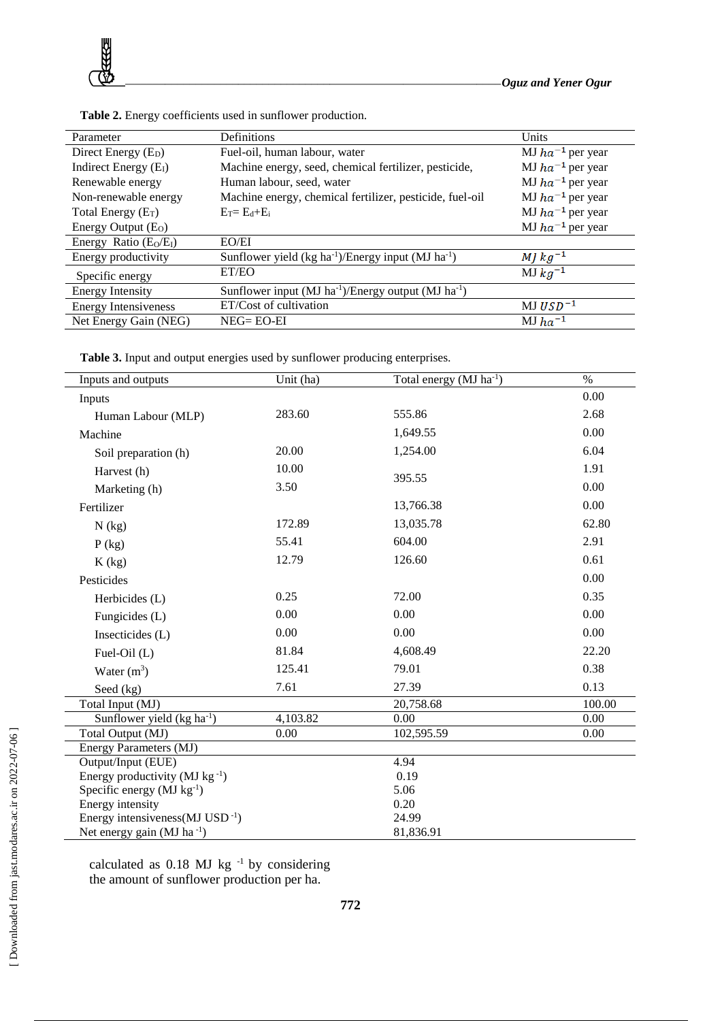

| Definitions<br>Parameter                                    |                       |
|-------------------------------------------------------------|-----------------------|
| Fuel-oil, human labour, water                               | MJ $ha^{-1}$ per year |
| Machine energy, seed, chemical fertilizer, pesticide,       | MJ $ha^{-1}$ per year |
| Human labour, seed, water                                   | MJ $ha^{-1}$ per year |
| Machine energy, chemical fertilizer, pesticide, fuel-oil    | MJ $ha^{-1}$ per year |
| $E_T = E_d + E_i$                                           | MJ $ha^{-1}$ per year |
|                                                             | MJ $ha^{-1}$ per year |
| EO/EI                                                       |                       |
| Sunflower yield $(kg ha^{-1})/Energy$ input $(MJ ha^{-1})$  | MJ $kg^{-1}$          |
| ET/EO                                                       | $MJ$ $kg^{-1}$        |
| Sunflower input $(MJ ha^{-1})/Energy$ output $(MJ ha^{-1})$ |                       |
| ET/Cost of cultivation                                      | $MJ USD-1$            |
| $NEG=EO-EI$                                                 | $MJ$ $ha^{-1}$        |
|                                                             |                       |

**Table 2.** Energy coefficients used in sunflower production.

**Table 3.** Input and output energies used by sunflower producing enterprises.

| Inputs and outputs                              | Unit (ha) | Total energy (MJ ha <sup>-1</sup> ) | $\%$   |  |  |
|-------------------------------------------------|-----------|-------------------------------------|--------|--|--|
| Inputs                                          |           |                                     | 0.00   |  |  |
| Human Labour (MLP)                              | 283.60    | 555.86                              | 2.68   |  |  |
| Machine                                         |           | 1,649.55                            | 0.00   |  |  |
| Soil preparation (h)                            | 20.00     | 1,254.00                            | 6.04   |  |  |
| Harvest (h)                                     | 10.00     |                                     | 1.91   |  |  |
| Marketing (h)                                   | 3.50      | 395.55                              | 0.00   |  |  |
| Fertilizer                                      |           | 13,766.38                           | 0.00   |  |  |
| $N$ (kg)                                        | 172.89    | 13,035.78                           | 62.80  |  |  |
| $P$ (kg)                                        | 55.41     | 604.00                              | 2.91   |  |  |
| K(kg)                                           | 12.79     | 126.60                              | 0.61   |  |  |
| Pesticides                                      |           |                                     | 0.00   |  |  |
| Herbicides (L)                                  | 0.25      | 72.00                               | 0.35   |  |  |
| Fungicides (L)                                  | 0.00      | 0.00                                | 0.00   |  |  |
| Insecticides (L)                                | 0.00      | 0.00                                | 0.00   |  |  |
| Fuel-Oil (L)                                    | 81.84     | 4,608.49                            | 22.20  |  |  |
| Water $(m^3)$                                   | 125.41    | 79.01                               | 0.38   |  |  |
| Seed (kg)                                       | 7.61      | 27.39                               | 0.13   |  |  |
| Total Input (MJ)                                |           | 20,758.68                           | 100.00 |  |  |
| Sunflower yield $(kg ha^{-1})$                  | 4,103.82  | 0.00                                | 0.00   |  |  |
| Total Output (MJ)                               | 0.00      | 102,595.59                          | 0.00   |  |  |
| Energy Parameters (MJ)                          |           |                                     |        |  |  |
| Output/Input (EUE)                              |           | 4.94                                |        |  |  |
| Energy productivity ( $MJ$ kg <sup>-1</sup> )   |           | 0.19                                |        |  |  |
| Specific energy $(MJ kg^{-1})$                  |           | 5.06                                |        |  |  |
| Energy intensity                                |           | 0.20                                |        |  |  |
| Energy intensiveness ( $MJ$ USD <sup>-1</sup> ) |           | 24.99                               |        |  |  |
| Net energy gain (MJ ha $^{-1}$ )                |           | 81,836.91                           |        |  |  |

calculated as 0.18 MJ kg<sup>-1</sup> by considering the amount of sunflower production per ha.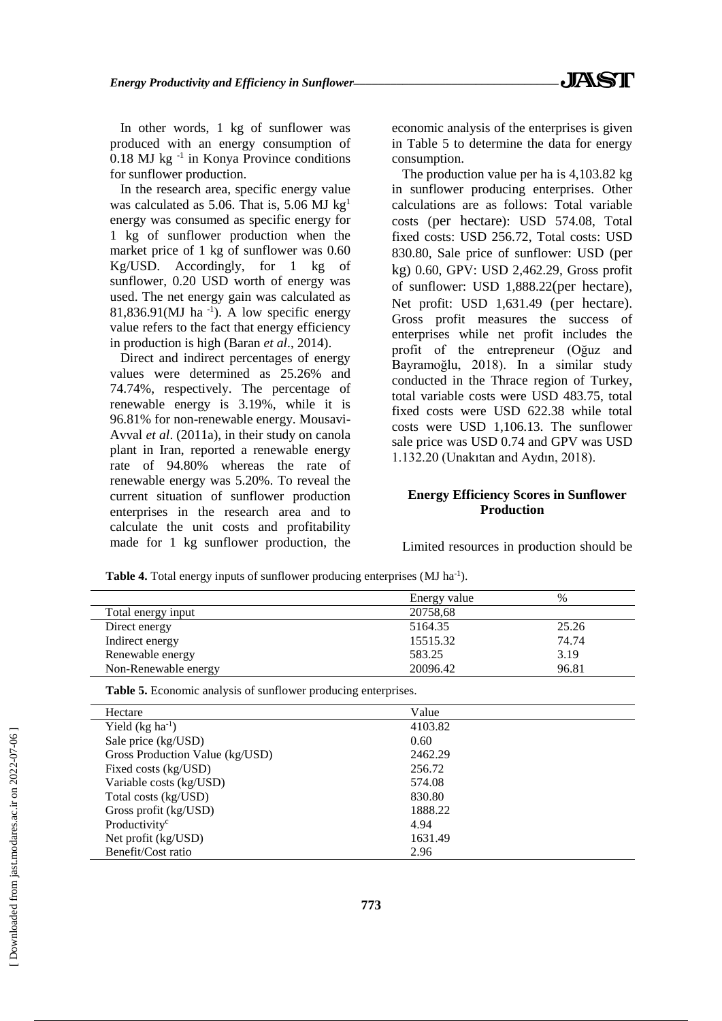In other words, 1 kg of sunflower was produced with an energy consumption of  $0.18$  MJ kg<sup>-1</sup> in Konya Province conditions for sunflower production.

In the research area, specific energy value was calculated as 5.06. That is, 5.06 MJ  $kg<sup>1</sup>$ energy was consumed as specific energy for 1 kg of sunflower production when the market price of 1 kg of sunflower was 0.60 Kg/USD. Accordingly, for 1 kg of sunflower, 0.20 USD worth of energy was used. The net energy gain was calculated as  $81,836.91(MJ)$  ha<sup>-1</sup>). A low specific energy value refers to the fact that energy efficiency in production is high (Baran *et al*., 2014).

Direct and indirect percentages of energy values were determined as 25.26% and 74.74%, respectively. The percentage of renewable energy is 3.19%, while it is 96.81% for non-renewable energy. Mousavi-Avval *et al*. (2011a), in their study on canola plant in Iran, reported a renewable energy rate of 94.80% whereas the rate of renewable energy was 5.20%. To reveal the current situation of sunflower production enterprises in the research area and to calculate the unit costs and profitability made for 1 kg sunflower production, the economic analysis of the enterprises is given in Table 5 to determine the data for energy consumption.

The production value per ha is 4,103.82 kg in sunflower producing enterprises. Other calculations are as follows: Total variable costs (per hectare): USD 574.08, Total fixed costs: USD 256.72, Total costs: USD 830.80, Sale price of sunflower: USD (per kg) 0.60, GPV: USD 2,462.29, Gross profit of sunflower: USD 1,888.22(per hectare), Net profit: USD 1,631.49 (per hectare). Gross profit measures the success of enterprises while net profit includes the profit of the entrepreneur (Oğuz and Bayramoğlu, 2018). In a similar study conducted in the Thrace region of Turkey, total variable costs were USD 483.75, total fixed costs were USD 622.38 while total costs were USD 1,106.13. The sunflower sale price was USD 0.74 and GPV was USD 1.132.20 (Unakıtan and Aydın, 2018).

# **Energy Efficiency Scores in Sunflower Production**

Limited resources in production should be

Table 4. Total energy inputs of sunflower producing enterprises (MJ ha<sup>-1</sup>).

|                      | Energy value | %     |
|----------------------|--------------|-------|
| Total energy input   | 20758,68     |       |
| Direct energy        | 5164.35      | 25.26 |
| Indirect energy      | 15515.32     | 74.74 |
| Renewable energy     | 583.25       | 3.19  |
| Non-Renewable energy | 20096.42     | 96.81 |

**Table 5.** Economic analysis of sunflower producing enterprises.

| Hectare                         | Value   |  |
|---------------------------------|---------|--|
| Yield $(kg ha^{-1})$            | 4103.82 |  |
| Sale price (kg/USD)             | 0.60    |  |
| Gross Production Value (kg/USD) | 2462.29 |  |
| Fixed costs (kg/USD)            | 256.72  |  |
| Variable costs (kg/USD)         | 574.08  |  |
| Total costs (kg/USD)            | 830.80  |  |
| Gross profit (kg/USD)           | 1888.22 |  |
| Productivity <sup>c</sup>       | 4.94    |  |
| Net profit $(kg/USD)$           | 1631.49 |  |
| Benefit/Cost ratio              | 2.96    |  |

 $\overline{a}$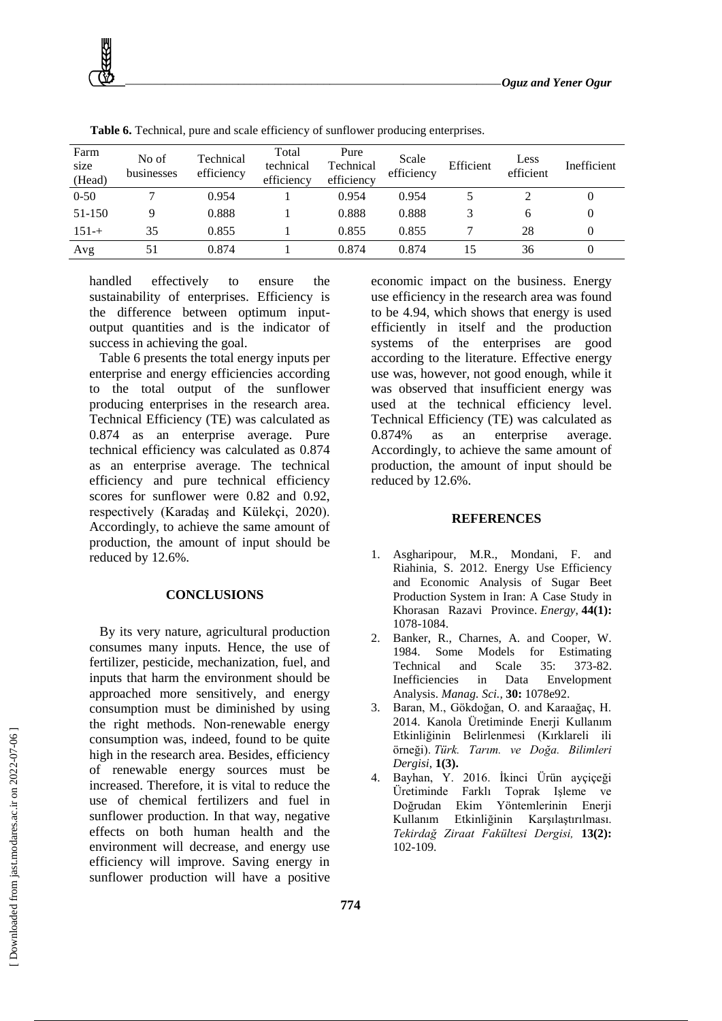

| Farm<br>size<br>(Head) | No of<br>businesses | Technical<br>efficiency | Total<br>technical<br>efficiency | Pure<br>Technical<br>efficiency | Scale<br>efficiency | Efficient | Less<br>efficient | Inefficient |
|------------------------|---------------------|-------------------------|----------------------------------|---------------------------------|---------------------|-----------|-------------------|-------------|
| $0 - 50$               |                     | 0.954                   |                                  | 0.954                           | 0.954               |           |                   | U           |
| 51-150                 |                     | 0.888                   |                                  | 0.888                           | 0.888               |           | h                 | 0           |
| $151 - +$              | 35                  | 0.855                   |                                  | 0.855                           | 0.855               |           | 28                | $\Omega$    |
| Avg                    | 51                  | 0.874                   |                                  | 0.874                           | 0.874               |           | 36                | $\theta$    |

**Table 6.** Technical, pure and scale efficiency of sunflower producing enterprises.

handled effectively to ensure the sustainability of enterprises. Efficiency is the difference between optimum inputoutput quantities and is the indicator of success in achieving the goal.

Table 6 presents the total energy inputs per enterprise and energy efficiencies according to the total output of the sunflower producing enterprises in the research area. Technical Efficiency (TE) was calculated as 0.874 as an enterprise average. Pure technical efficiency was calculated as 0.874 as an enterprise average. The technical efficiency and pure technical efficiency scores for sunflower were 0.82 and 0.92, respectively (Karadaş and Külekçi, 2020). Accordingly, to achieve the same amount of production, the amount of input should be reduced by 12.6%.

### **CONCLUSIONS**

By its very nature, agricultural production consumes many inputs. Hence, the use of fertilizer, pesticide, mechanization, fuel, and inputs that harm the environment should be approached more sensitively, and energy consumption must be diminished by using the right methods. Non-renewable energy consumption was, indeed, found to be quite high in the research area. Besides, efficiency of renewable energy sources must be increased. Therefore, it is vital to reduce the use of chemical fertilizers and fuel in sunflower production. In that way, negative effects on both human health and the environment will decrease, and energy use efficiency will improve. Saving energy in sunflower production will have a positive

economic impact on the business. Energy use efficiency in the research area was found to be 4.94, which shows that energy is used efficiently in itself and the production systems of the enterprises are good according to the literature. Effective energy use was, however, not good enough, while it was observed that insufficient energy was used at the technical efficiency level. Technical Efficiency (TE) was calculated as 0.874% as an enterprise average. Accordingly, to achieve the same amount of production, the amount of input should be reduced by 12.6%.

#### **REFERENCES**

- 1. Asgharipour, M.R., Mondani, F. and Riahinia, S. 2012. Energy Use Efficiency and Economic Analysis of Sugar Beet Production System in Iran: A Case Study in Khorasan Razavi Province. *Energy*, **44(1):** 1078-1084.
- 2. Banker, R., Charnes, A. and Cooper, W. 1984. Some Models for Estimating Technical and Scale 35: 373-82. Inefficiencies in Data Envelopment Analysis. *Manag. Sci.,* **30:** 1078e92.
- 3. Baran, M., Gökdoğan, O. and Karaağaç, H. 2014. Kanola Üretiminde Enerji Kullanım Etkinliğinin Belirlenmesi (Kırklareli ili örneği). *Türk. Tarım. ve Doğa. Bilimleri Dergisi*, **1(3).**
- 4. Bayhan, Y. 2016. İkinci Ürün ayçiçeği Üretiminde Farklı Toprak Işleme ve Doğrudan Ekim Yöntemlerinin Enerji Kullanım Etkinliğinin Karşılaştırılması. *Tekirdağ Ziraat Fakültesi Dergisi,* **13(2):** 102-109.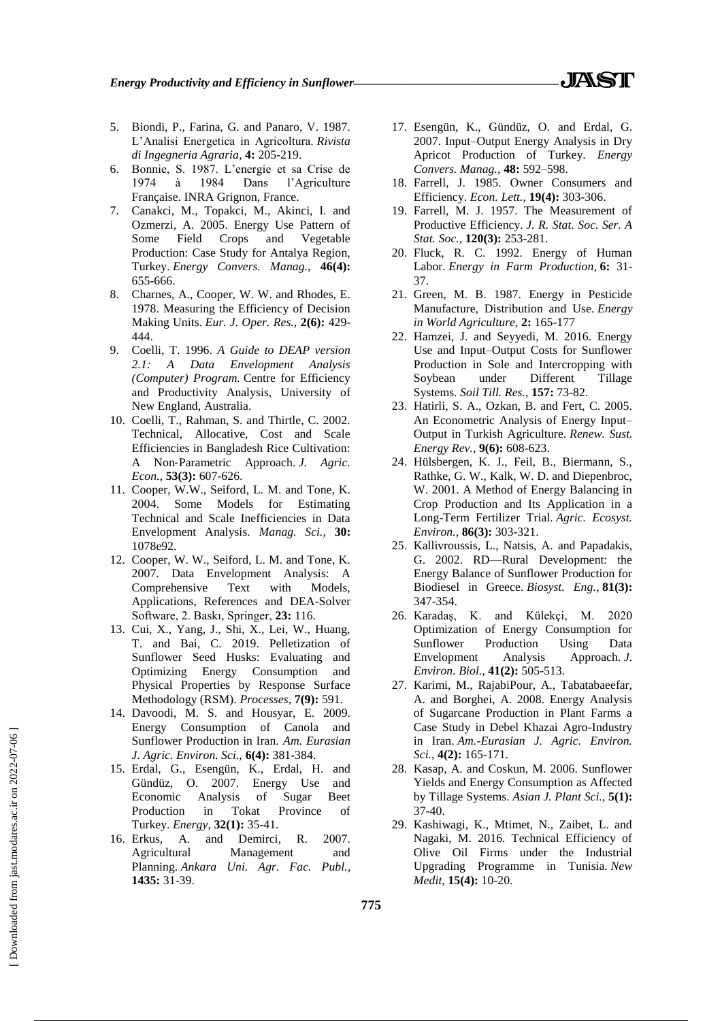- 5. Biondi, P., Farina, G. and Panaro, V. 1987. L'Analisi Energetica in Agricoltura. *Rivista di Ingegneria Agraria*, **4:** 205-219.
- 6. Bonnie, S. 1987. L'energie et sa Crise de 1974 à 1984 Dans l'Agriculture Française. INRA Grignon, France.
- 7. Canakci, M., Topakci, M., Akinci, I. and Ozmerzi, A. 2005. Energy Use Pattern of Some Field Crops and Vegetable Production: Case Study for Antalya Region, Turkey. *Energy Convers. Manag.,* **46(4):** 655-666.
- 8. Charnes, A., Cooper, W. W. and Rhodes, E. 1978. Measuring the Efficiency of Decision Making Units. *Eur. J. Oper. Res.,* **2(6):** 429- 444.
- 9. Coelli, T. 1996. *A Guide to DEAP version 2.1: A Data Envelopment Analysis (Computer) Program.* Centre for Efficiency and Productivity Analysis, University of New England, Australia.
- 10. Coelli, T., Rahman, S. and Thirtle, C. 2002. Technical, Allocative, Cost and Scale Efficiencies in Bangladesh Rice Cultivation: A Non‐Parametric Approach. *J. Agric. Econ.*, **53(3):** 607-626.
- 11. Cooper, W.W., Seiford, L. M. and Tone, K. 2004. Some Models for Estimating Technical and Scale Inefficiencies in Data Envelopment Analysis. *Manag. Sci.,* **30:** 1078e92.
- 12. Cooper, W. W., Seiford, L. M. and Tone, K. 2007. Data Envelopment Analysis: A Comprehensive Text with Models, Applications, References and DEA-Solver Software, 2. Baskı, Springer, **23:** 116.
- 13. Cui, X., Yang, J., Shi, X., Lei, W., Huang, T. and Bai, C. 2019. Pelletization of Sunflower Seed Husks: Evaluating and Optimizing Energy Consumption and Physical Properties by Response Surface Methodology (RSM). *Processes*, **7(9):** 591.
- 14. Davoodi, M. S. and Housyar, E. 2009. Energy Consumption of Canola and Sunflower Production in Iran. *Am. Eurasian J. Agric. Environ. Sci.,* **6(4):** 381-384.
- 15. Erdal, G., Esengün, K., Erdal, H. and Gündüz, O. 2007. Energy Use and Economic Analysis of Sugar Beet Production in Tokat Province of Turkey. *Energy*, **32(1):** 35-41.
- 16. Erkus, A. and Demirci, R. 2007. Agricultural Management and Planning. *Ankara Uni. Agr. Fac. Publ.*, **1435:** 31-39.
- 17. Esengün, K., Gündüz, O. and Erdal, G. 2007. Input–Output Energy Analysis in Dry Apricot Production of Turkey. *Energy Convers. Manag.,* **48:** 592–598.
- 18. Farrell, J. 1985. Owner Consumers and Efficiency. *Econ. Lett.,* **19(4):** 303-306.
- 19. Farrell, M. J. 1957. The Measurement of Productive Efficiency. *J. R. Stat. Soc. Ser. A Stat. Soc.,* **120(3):** 253-281.
- 20. Fluck, R. C. 1992. Energy of Human Labor. *Energy in Farm Production*, **6:** 31- 37.
- 21. Green, M. B. 1987. Energy in Pesticide Manufacture, Distribution and Use. *Energy in World Agriculture*, **2:** 165-177
- 22. Hamzei, J. and Seyyedi, M. 2016. Energy Use and Input–Output Costs for Sunflower Production in Sole and Intercropping with Soybean under Different Tillage Systems. *Soil Till. Res.*, **157:** 73-82.
- 23. Hatirli, S. A., Ozkan, B. and Fert, C. 2005. An Econometric Analysis of Energy Input– Output in Turkish Agriculture. *Renew. Sust. Energy Rev.*, **9(6):** 608-623.
- 24. Hülsbergen, K. J., Feil, B., Biermann, S., Rathke, G. W., Kalk, W. D. and Diepenbroc, W. 2001. A Method of Energy Balancing in Crop Production and Its Application in a Long-Term Fertilizer Trial. *Agric. Ecosyst. Environ.,* **86(3):** 303-321.
- 25. Kallivroussis, L., Natsis, A. and Papadakis, G. 2002. RD—Rural Development: the Energy Balance of Sunflower Production for Biodiesel in Greece. *Biosyst. Eng.*, **81(3):** 347-354.
- 26. Karadaş, K. and Külekçi, M. 2020 Optimization of Energy Consumption for Sunflower Production Using Data Envelopment Analysis Approach. *J. Environ. Biol.*, **41(2):** 505-513.
- 27. Karimi, M., RajabiPour, A., Tabatabaeefar, A. and Borghei, A. 2008. Energy Analysis of Sugarcane Production in Plant Farms a Case Study in Debel Khazai Agro-Industry in Iran. *Am.-Eurasian J. Agric. Environ. Sci.*, **4(2):** 165-171.
- 28. Kasap, A. and Coskun, M. 2006. Sunflower Yields and Energy Consumption as Affected by Tillage Systems. *Asian J. Plant Sci.*, **5(1):** 37-40.
- 29. Kashiwagi, K., Mtimet, N., Zaibet, L. and Nagaki, M. 2016. Technical Efficiency of Olive Oil Firms under the Industrial Upgrading Programme in Tunisia. *New Medit*, **15(4):** 10-20.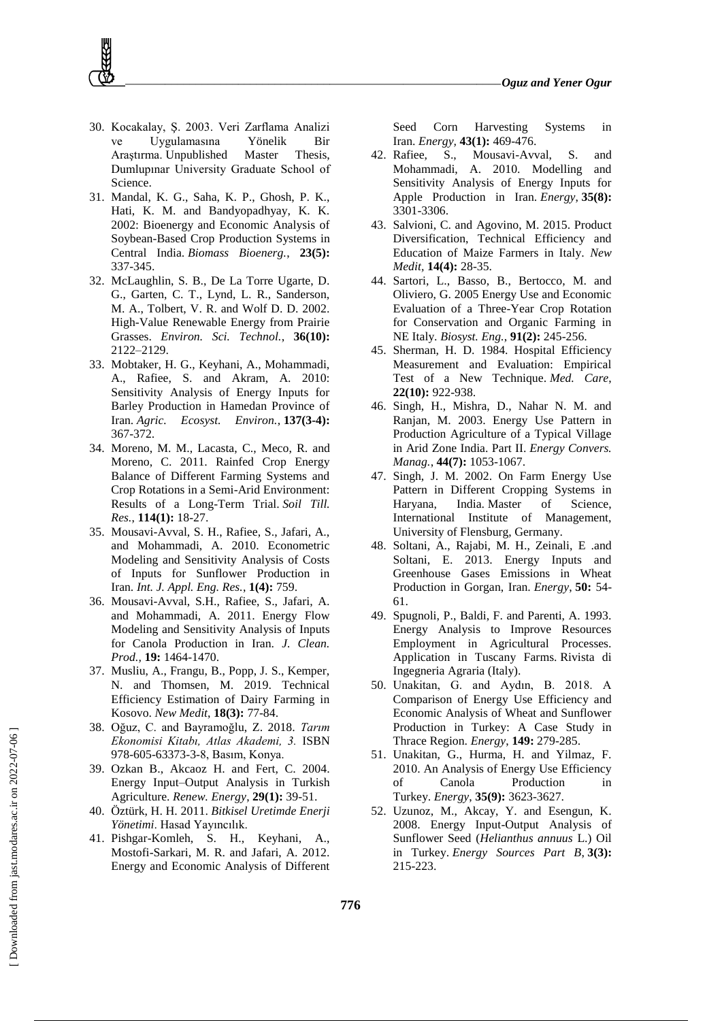- 30. Kocakalay, Ş. 2003. Veri Zarflama Analizi ve Uygulamasına Yönelik Bir Araştırma. Unpublished Master Thesis, Dumlupınar University Graduate School of Science.
- 31. Mandal, K. G., Saha, K. P., Ghosh, P. K., Hati, K. M. and Bandyopadhyay, K. K. 2002: Bioenergy and Economic Analysis of Soybean-Based Crop Production Systems in Central India. *Biomass Bioenerg.*, **23(5):** 337-345.
- 32. McLaughlin, S. B., De La Torre Ugarte, D. G., Garten, C. T., Lynd, L. R., Sanderson, M. A., Tolbert, V. R. and Wolf D. D. 2002. High-Value Renewable Energy from Prairie Grasses. *Environ. Sci. Technol.*, **36(10):** 2122–2129.
- 33. Mobtaker, H. G., Keyhani, A., Mohammadi, A., Rafiee, S. and Akram, A. 2010: Sensitivity Analysis of Energy Inputs for Barley Production in Hamedan Province of Iran. *Agric. Ecosyst. Environ.*, **137(3-4):** 367-372.
- 34. Moreno, M. M., Lacasta, C., Meco, R. and Moreno, C. 2011. Rainfed Crop Energy Balance of Different Farming Systems and Crop Rotations in a Semi-Arid Environment: Results of a Long-Term Trial. *Soil Till. Res.*, **114(1):** 18-27.
- 35. Mousavi-Avval, S. H., Rafiee, S., Jafari, A., and Mohammadi, A. 2010. Econometric Modeling and Sensitivity Analysis of Costs of Inputs for Sunflower Production in Iran. *Int. J. Appl. Eng. Res.*, **1(4):** 759.
- 36. Mousavi-Avval, S.H., Rafiee, S., Jafari, A. and Mohammadi, A. 2011. Energy Flow Modeling and Sensitivity Analysis of Inputs for Canola Production in Iran. *J. Clean. Prod.,* **19:** 1464-1470.
- 37. Musliu, A., Frangu, B., Popp, J. S., Kemper, N. and Thomsen, M. 2019. Technical Efficiency Estimation of Dairy Farming in Kosovo. *New Medit*, **18(3):** 77-84.
- 38. Oğuz, C. and Bayramoğlu, Z. 2018. *Tarım Ekonomisi Kitabı, Atlas Akademi, 3.* ISBN 978-605-63373-3-8, Basım, Konya.
- 39. Ozkan B., Akcaoz H. and Fert, C. 2004. Energy Input–Output Analysis in Turkish Agriculture. *Renew. Energy*, **29(1):** 39-51.
- 40. Öztürk, H. H. 2011. *Bitkisel Uretimde Enerji Yönetimi*. Hasad Yayıncılık.
- 41. Pishgar-Komleh, S. H., Keyhani, A., Mostofi-Sarkari, M. R. and Jafari, A. 2012. Energy and Economic Analysis of Different

Seed Corn Harvesting Systems in Iran. *Energy,* **43(1):** 469-476.

- 42. Rafiee, S., Mousavi-Avval, S. and Mohammadi, A. 2010. Modelling and Sensitivity Analysis of Energy Inputs for Apple Production in Iran. *Energy*, **35(8):** 3301-3306.
- 43. Salvioni, C. and Agovino, M. 2015. Product Diversification, Technical Efficiency and Education of Maize Farmers in Italy. *New Medit,* **14(4):** 28-35.
- 44. Sartori, L., Basso, B., Bertocco, M. and Oliviero, G. 2005 Energy Use and Economic Evaluation of a Three-Year Crop Rotation for Conservation and Organic Farming in NE Italy. *Biosyst. Eng.*, **91(2):** 245-256.
- 45. Sherman, H. D. 1984. Hospital Efficiency Measurement and Evaluation: Empirical Test of a New Technique. *Med. Care*, **22(10):** 922-938.
- 46. Singh, H., Mishra, D., Nahar N. M. and Ranjan, M. 2003. Energy Use Pattern in Production Agriculture of a Typical Village in Arid Zone India. Part II. *Energy Convers. Manag.*, **44(7):** 1053-1067.
- 47. Singh, J. M. 2002. On Farm Energy Use Pattern in Different Cropping Systems in Haryana, India. Master of Science, International Institute of Management, University of Flensburg, Germany.
- 48. Soltani, A., Rajabi, M. H., Zeinali, E .and Soltani, E. 2013. Energy Inputs and Greenhouse Gases Emissions in Wheat Production in Gorgan, Iran. *Energy*, **50:** 54- 61.
- 49. Spugnoli, P., Baldi, F. and Parenti, A. 1993. Energy Analysis to Improve Resources Employment in Agricultural Processes. Application in Tuscany Farms. Rivista di Ingegneria Agraria (Italy).
- 50. Unakitan, G. and Aydın, B. 2018. A Comparison of Energy Use Efficiency and Economic Analysis of Wheat and Sunflower Production in Turkey: A Case Study in Thrace Region. *Energy*, **149:** 279-285.
- 51. Unakitan, G., Hurma, H. and Yilmaz, F. 2010. An Analysis of Energy Use Efficiency of Canola Production in Turkey. *Energy*, **35(9):** 3623-3627.
- 52. Uzunoz, M., Akcay, Y. and Esengun, K. 2008. Energy Input-Output Analysis of Sunflower Seed (*Helianthus annuus* L.) Oil in Turkey. *Energy Sources Part B*, **3(3):** 215-223.